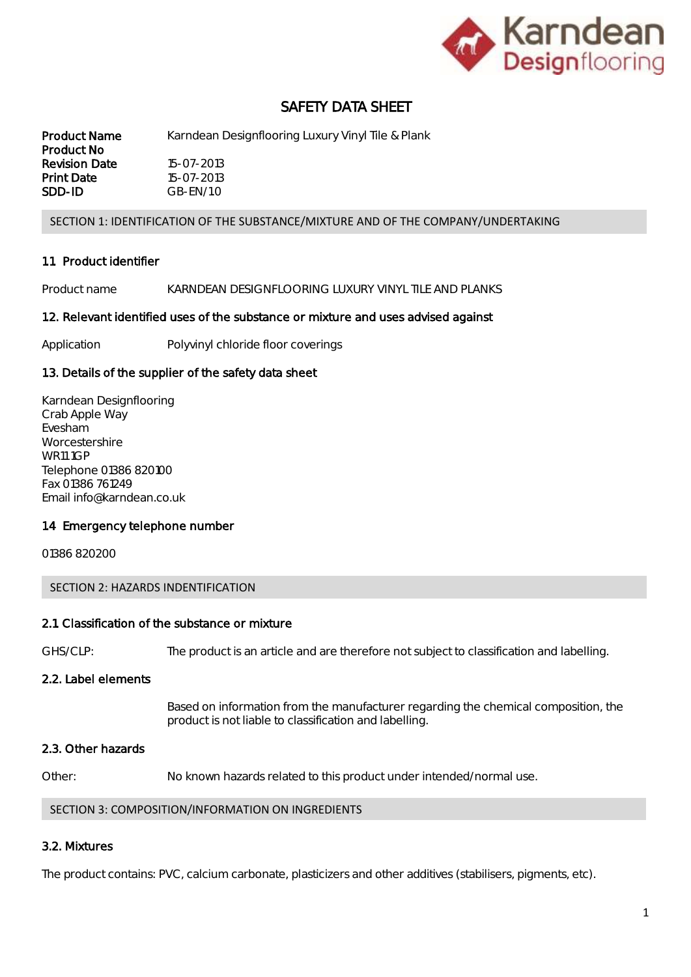

# SAFETY DATA SHEET

Product Name Karndean Designflooring Luxury Vinyl Tile & Plank Product No Revision Date 15-07-2013 **Print Date** 15-07-2013 SDD-ID GB-EN/1.0

#### SECTION 1: IDENTIFICATION OF THE SUBSTANCE/MIXTURE AND OF THE COMPANY/UNDERTAKING

#### 1.1. Product identifier

Product name KARNDEAN DESIGNFLOORING LUXURY VINYL TILE AND PLANKS

#### 1.2. Relevant identified uses of the substance or mixture and uses advised against

Application Polyvinyl chloride floor coverings

#### 1.3. Details of the supplier of the safety data sheet

Karndean Designflooring Crab Apple Way Evesham Worcestershire WR11 1GP Telephone 01386 820100 Fax 01386 761249 Email info@karndean.co.uk

#### 1.4 Emergency telephone number

01386 820200

#### SECTION 2: HAZARDS INDENTIFICATION

#### 2.1. Classification of the substance or mixture

GHS/CLP: The product is an article and are therefore not subject to classification and labelling.

### 2.2. Label elements

Based on information from the manufacturer regarding the chemical composition, the product is not liable to classification and labelling.

#### 2.3. Other hazards

Other: No known hazards related to this product under intended/normal use.

#### SECTION 3: COMPOSITION/INFORMATION ON INGREDIENTS

### 3.2. Mixtures

The product contains: PVC, calcium carbonate, plasticizers and other additives (stabilisers, pigments, etc).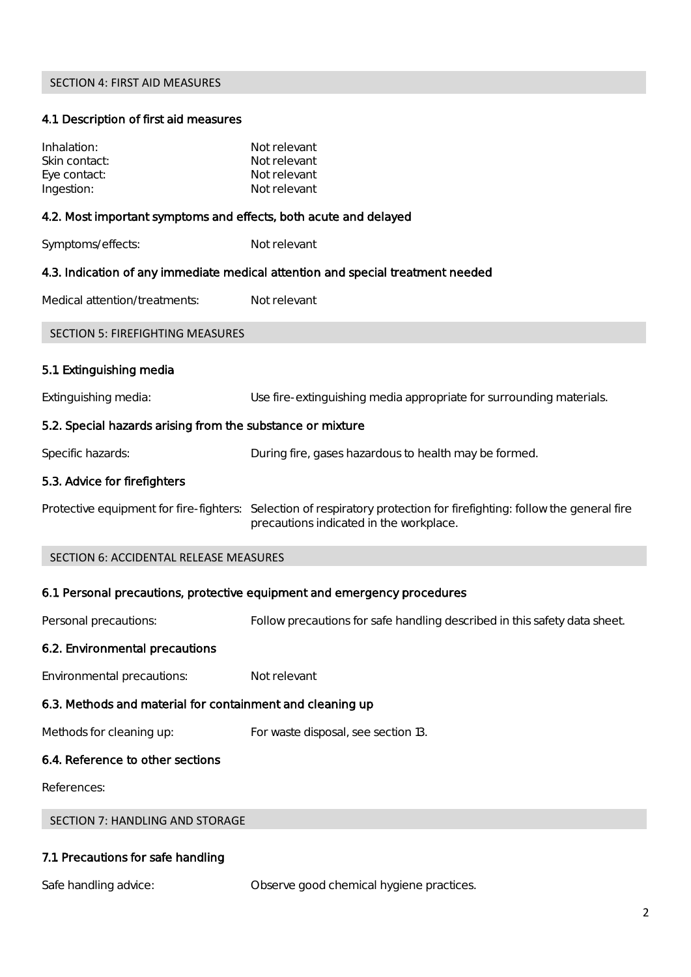## SECTION 4: FIRST AID MEASURES

### 4.1. Description of first aid measures

| Inhalation:<br>Skin contact:<br>Eye contact:<br>Ingestion:       | Not relevant<br>Not relevant<br>Not relevant<br>Not relevant                                                                                                     |  |  |
|------------------------------------------------------------------|------------------------------------------------------------------------------------------------------------------------------------------------------------------|--|--|
| 4.2. Most important symptoms and effects, both acute and delayed |                                                                                                                                                                  |  |  |
| Symptoms/effects:                                                | Not relevant                                                                                                                                                     |  |  |
|                                                                  | 4.3. Indication of any immediate medical attention and special treatment needed                                                                                  |  |  |
| Medical attention/treatments:                                    | Not relevant                                                                                                                                                     |  |  |
| <b>SECTION 5: FIREFIGHTING MEASURES</b>                          |                                                                                                                                                                  |  |  |
| 5.1. Extinguishing media                                         |                                                                                                                                                                  |  |  |
| Extinguishing media:                                             | Use fire-extinguishing media appropriate for surrounding materials.                                                                                              |  |  |
| 5.2. Special hazards arising from the substance or mixture       |                                                                                                                                                                  |  |  |
| Specific hazards:                                                | During fire, gases hazardous to health may be formed.                                                                                                            |  |  |
| 5.3. Advice for firefighters                                     |                                                                                                                                                                  |  |  |
|                                                                  | Protective equipment for fire-fighters: Selection of respiratory protection for firefighting: follow the general fire<br>precautions indicated in the workplace. |  |  |
| SECTION 6: ACCIDENTAL RELEASE MEASURES                           |                                                                                                                                                                  |  |  |
|                                                                  | 6.1. Personal precautions, protective equipment and emergency procedures                                                                                         |  |  |
| Personal precautions:                                            | Follow precautions for safe handling described in this safety data sheet.                                                                                        |  |  |
| 6.2. Environmental precautions                                   |                                                                                                                                                                  |  |  |
| Environmental precautions:                                       | Not relevant                                                                                                                                                     |  |  |
| 6.3. Methods and material for containment and cleaning up        |                                                                                                                                                                  |  |  |
| Methods for cleaning up:                                         | For waste disposal, see section 13.                                                                                                                              |  |  |
| 6.4. Reference to other sections                                 |                                                                                                                                                                  |  |  |
| References:                                                      |                                                                                                                                                                  |  |  |
| <b>SECTION 7: HANDLING AND STORAGE</b>                           |                                                                                                                                                                  |  |  |

# 7.1. Precautions for safe handling

Safe handling advice: Observe good chemical hygiene practices.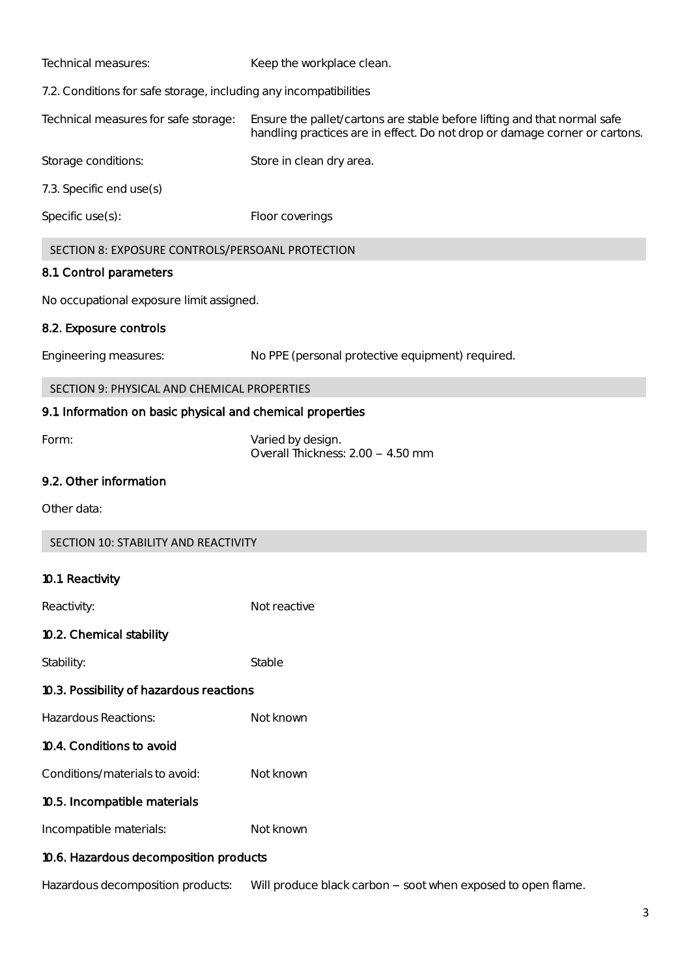| Technical measures:                                               | Keep the workplace clean.                                                                                                                              |  |
|-------------------------------------------------------------------|--------------------------------------------------------------------------------------------------------------------------------------------------------|--|
| 7.2. Conditions for safe storage, including any incompatibilities |                                                                                                                                                        |  |
| Technical measures for safe storage:                              | Ensure the pallet/cartons are stable before lifting and that normal safe<br>handling practices are in effect. Do not drop or damage corner or cartons. |  |
| Storage conditions:                                               | Store in clean dry area.                                                                                                                               |  |
| 7.3. Specific end use(s)                                          |                                                                                                                                                        |  |
| Specific $use(s)$ :                                               | Floor coverings                                                                                                                                        |  |
| SECTION 8: EXPOSURE CONTROLS/PERSOANL PROTECTION                  |                                                                                                                                                        |  |

### 8.1. Control parameters

No occupational exposure limit assigned.

### 8.2. Exposure controls

Engineering measures: No PPE (personal protective equipment) required.

## SECTION 9: PHYSICAL AND CHEMICAL PROPERTIES

### 9.1. Information on basic physical and chemical properties

Form: Varied by design. Overall Thickness: 2.00 - 4.50 mm

## 9.2. Other information

Other data:

## 10.1. Reactivity

| Reactivity:                              | Not reactive |  |  |
|------------------------------------------|--------------|--|--|
| 10.2. Chemical stability                 |              |  |  |
| Stability:                               | Stable       |  |  |
| 10.3. Possibility of hazardous reactions |              |  |  |
| Hazardous Reactions:                     | Not known    |  |  |
| 10.4. Conditions to avoid                |              |  |  |
| Conditions/materials to avoid:           | Not known    |  |  |
| 10.5. Incompatible materials             |              |  |  |
| Incompatible materials:                  | Not known    |  |  |
| 10.6. Hazardous decomposition products   |              |  |  |
|                                          |              |  |  |

Hazardous decomposition products: Will produce black carbon - soot when exposed to open flame.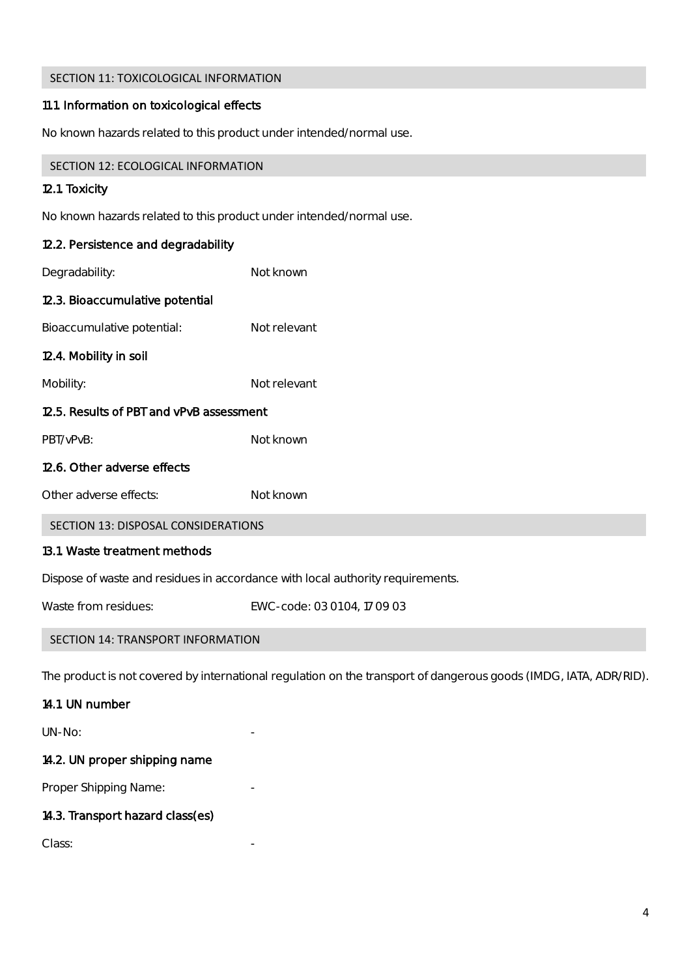# SECTION 11: TOXICOLOGICAL INFORMATION

# 11.1. Information on toxicological effects

No known hazards related to this product under intended/normal use.

| SECTION 12: ECOLOGICAL INFORMATION       |                                                                                                                   |
|------------------------------------------|-------------------------------------------------------------------------------------------------------------------|
| 12.1. Toxicity                           |                                                                                                                   |
|                                          | No known hazards related to this product under intended/normal use.                                               |
| 12.2. Persistence and degradability      |                                                                                                                   |
| Degradability:                           | Not known                                                                                                         |
| 12.3. Bioaccumulative potential          |                                                                                                                   |
| Bioaccumulative potential:               | Not relevant                                                                                                      |
| 12.4. Mobility in soil                   |                                                                                                                   |
| Mobility:                                | Not relevant                                                                                                      |
| 12.5. Results of PBT and vPvB assessment |                                                                                                                   |
| PBT/vPvB:                                | Not known                                                                                                         |
| 12.6. Other adverse effects              |                                                                                                                   |
| Other adverse effects:                   | Not known                                                                                                         |
| SECTION 13: DISPOSAL CONSIDERATIONS      |                                                                                                                   |
| 13.1. Waste treatment methods            |                                                                                                                   |
|                                          | Dispose of waste and residues in accordance with local authority requirements.                                    |
| Waste from residues:                     | EWC-code: 03 01 04, 17 09 03                                                                                      |
| SECTION 14: TRANSPORT INFORMATION        |                                                                                                                   |
|                                          | The product is not covered by international regulation on the transport of dangerous goods (IMDG, IATA, ADR/RID). |
| 14.1. UN number                          |                                                                                                                   |
| UN-No:                                   |                                                                                                                   |

# 14.2. UN proper shipping name

Proper Shipping Name:

# 14.3. Transport hazard class(es)

Class: